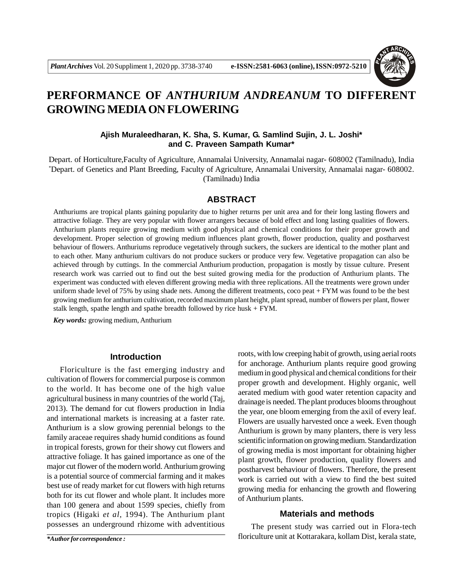

# **PERFORMANCE OF** *ANTHURIUM ANDREANUM* **TO DIFFERENT GROWING MEDIA ON FLOWERING**

## **Ajish Muraleedharan, K. Sha, S. Kumar, G. Samlind Sujin, J. L. Joshi\* and C. Praveen Sampath Kumar\***

Depart. of Horticulture,Faculty of Agriculture, Annamalai University, Annamalai nagar- 608002 (Tamilnadu), India \*Depart. of Genetics and Plant Breeding, Faculty of Agriculture, Annamalai University, Annamalai nagar- 608002. (Tamilnadu) India

## **ABSTRACT**

Anthuriums are tropical plants gaining popularity due to higher returns per unit area and for their long lasting flowers and attractive foliage. They are very popular with flower arrangers because of bold effect and long lasting qualities of flowers. Anthurium plants require growing medium with good physical and chemical conditions for their proper growth and development. Proper selection of growing medium influences plant growth, flower production, quality and postharvest behaviour of flowers. Anthuriums reproduce vegetatively through suckers, the suckers are identical to the mother plant and to each other. Many anthurium cultivars do not produce suckers or produce very few. Vegetative propagation can also be achieved through by cuttings. In the commercial Anthurium production, propagation is mostly by tissue culture. Present research work was carried out to find out the best suited growing media for the production of Anthurium plants. The experiment was conducted with eleven different growing media with three replications. All the treatments were grown under uniform shade level of 75% by using shade nets. Among the different treatments, coco peat + FYM was found to be the best growing medium for anthurium cultivation, recorded maximum plant height, plant spread, number of flowers per plant, flower stalk length, spathe length and spathe breadth followed by rice husk + FYM.

*Key words:* growing medium, Anthurium

#### **Introduction**

Floriculture is the fast emerging industry and cultivation of flowers for commercial purpose is common to the world. It has become one of the high value agricultural business in many countries of the world (Taj, 2013). The demand for cut flowers production in India and international markets is increasing at a faster rate. Anthurium is a slow growing perennial belongs to the family araceae requires shady humid conditions as found in tropical forests, grown for their showy cut flowers and attractive foliage. It has gained importance as one of the major cut flower of the modern world. Anthurium growing is a potential source of commercial farming and it makes best use of ready market for cut flowers with high returns both for its cut flower and whole plant. It includes more than 100 genera and about 1599 species, chiefly from tropics (Higaki *et al*, 1994). The Anthurium plant possesses an underground rhizome with adventitious

roots, with low creeping habit of growth, using aerial roots for anchorage. Anthurium plants require good growing medium in good physical and chemical conditions for their proper growth and development. Highly organic, well aerated medium with good water retention capacity and drainage is needed. The plant produces blooms throughout the year, one bloom emerging from the axil of every leaf. Flowers are usually harvested once a week. Even though Anthurium is grown by many planters, there is very less scientific information on growing medium. Standardization of growing media is most important for obtaining higher plant growth, flower production, quality flowers and postharvest behaviour of flowers. Therefore, the present work is carried out with a view to find the best suited growing media for enhancing the growth and flowering of Anthurium plants.

#### **Materials and methods**

The present study was carried out in Flora-tech floriculture unit at Kottarakara, kollam Dist, kerala state,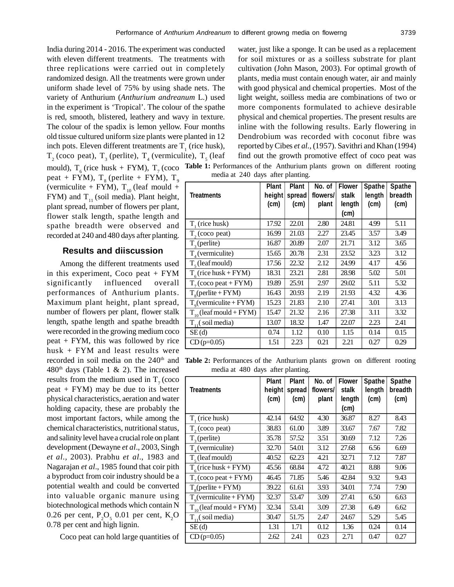India during 2014 - 2016. The experiment was conducted with eleven different treatments. The treatments with three replications were carried out in completely randomized design. All the treatments were grown under uniform shade level of 75% by using shade nets. The variety of Anthurium (*Anthurium andreanum* L.) used in the experiment is 'Tropical'. The colour of the spathe is red, smooth, blistered, leathery and wavy in texture. The colour of the spadix is lemon yellow. Four months old tissue cultured uniform size plants were planted in 12 inch pots. Eleven different treatments are  $T_1$  (rice husk),  $T_2$  (coco peat),  $T_3$  (perlite),  $T_4$  (vermiculite),  $T_5$  (leaf

mould),  $T_6$  (rice husk + FYM),  $T_7$  (coco **Table 1:** Performances of the Anthurium plants grown on different rooting peat + FYM),  $T<sub>8</sub>$  (perlite + FYM),  $T<sub>9</sub>$ (vermiculite + FYM),  $T_{10}$  (leaf mould + FYM) and  $T_{11}$  (soil media). Plant height, plant spread, number of flowers per plant, flower stalk length, spathe length and spathe breadth were observed and recorded at 240 and 480 days after planting.

#### **Results and diiscussion**

Among the different treatments used in this experiment, Coco peat  $+$  FYM significantly influenced overall performances of Anthurium plants. Maximum plant height, plant spread, number of flowers per plant, flower stalk length, spathe length and spathe breadth were recorded in the growing medium coco peat + FYM, this was followed by rice husk + FYM and least results were recorded in soil media on the 240<sup>th</sup> and  $480<sup>th</sup>$  days (Table 1 & 2). The increased results from the medium used in  $T<sub>7</sub>$  (coco peat + FYM) may be due to its better physical characteristics, aeration and water holding capacity, these are probably the most important factors, while among the chemical characteristics, nutritional status, and salinity level have a crucial role on plant development (Dewayne *et al*., 2003, Singh *et al.,* 2003). Prabhu *et al*., 1983 and Nagarajan *et al*., 1985 found that coir pith a byproduct from coir industry should be a potential wealth and could be converted into valuable organic manure using biotechnological methods which contain N 0.26 per cent,  $P_2O_5$  0.01 per cent,  $K_2O$ 0.78 per cent and high lignin.

Coco peat can hold large quantities of

water, just like a sponge. It can be used as a replacement for soil mixtures or as a soilless substrate for plant cultivation (John Mason, 2003). For optimal growth of plants, media must contain enough water, air and mainly with good physical and chemical properties. Most of the light weight, soilless media are combinations of two or more components formulated to achieve desirable physical and chemical properties. The present results are inline with the following results. Early flowering in Dendrobium was recorded with coconut fibre was reported by Cibes *et al.,* (1957). Savithri and Khan (1994) find out the growth promotive effect of coco peat was

media at 240 days after planting.

| <b>Treatments</b>           | <b>Plant</b><br>height<br>(c <sub>m</sub> ) | <b>Plant</b><br>spread<br>(c <sub>m</sub> ) | No. of<br>flowers/<br>plant | <b>Flower</b><br>stalk<br>length<br>(cm) | <b>Spathe</b><br>length<br>(c <sub>m</sub> ) | <b>Spathe</b><br>breadth<br>(c <sub>m</sub> ) |
|-----------------------------|---------------------------------------------|---------------------------------------------|-----------------------------|------------------------------------------|----------------------------------------------|-----------------------------------------------|
| $T1$ (rice husk)            | 17.92                                       | 22.01                                       | 2.80                        | 24.81                                    | 4.99                                         | 5.11                                          |
| $T2$ (coco peat)            | 16.99                                       | 21.03                                       | 2.27                        | 23.45                                    | 3.57                                         | 3.49                                          |
| $T_{2}$ (perlite)           | 16.87                                       | 20.89                                       | 2.07                        | 21.71                                    | 3.12                                         | 3.65                                          |
| $T_{4}$ (vermiculite)       | 15.65                                       | 20.78                                       | 2.31                        | 23.52                                    | 3.23                                         | 3.12                                          |
| $Ts$ (leaf mould)           | 17.56                                       | 22.32                                       | 2.12                        | 24.99                                    | 4.17                                         | 4.56                                          |
| $T_c$ (rice husk + FYM)     | 18.31                                       | 23.21                                       | 2.81                        | 28.98                                    | 5.02                                         | 5.01                                          |
| $T7$ (coco peat + FYM)      | 19.89                                       | 25.91                                       | 2.97                        | 29.02                                    | 5.11                                         | 5.32                                          |
| $T_{\circ}$ (perlite + FYM) | 16.43                                       | 20.93                                       | 2.19                        | 21.93                                    | 4.32                                         | 4.36                                          |
| $T_o($ vermiculite + FYM)   | 15.23                                       | 21.83                                       | 2.10                        | 27.41                                    | 3.01                                         | 3.13                                          |
| $T_{10}$ (leaf mould + FYM) | 15.47                                       | 21.32                                       | 2.16                        | 27.38                                    | 3.11                                         | 3.32                                          |
| $T_{11}$ (soil media)       | 13.07                                       | 18.32                                       | 1.47                        | 22.07                                    | 2.23                                         | 2.41                                          |
| SE(d)                       | 0.74                                        | 1.12                                        | 0.10                        | 1.15                                     | 0.14                                         | 0.15                                          |
| $CD$ (p=0.05)               | 1.51                                        | 2.23                                        | 0.21                        | 2.21                                     | 0.27                                         | 0.29                                          |

**Table 2:** Performances of the Anthurium plants grown on different rooting media at 480 days after planting.

|                              | <b>Plant</b> | <b>Plant</b> | No. of   | <b>Flower</b> | <b>Spathe</b> | <b>Spathe</b>     |  |  |  |  |
|------------------------------|--------------|--------------|----------|---------------|---------------|-------------------|--|--|--|--|
| <b>Treatments</b>            | height       | spread       | flowers/ | stalk         | length        | breadth           |  |  |  |  |
|                              | (cm)         | (cm)         | plant    | length        | (cm)          | (c <sub>m</sub> ) |  |  |  |  |
|                              |              |              |          | (cm)          |               |                   |  |  |  |  |
| $T1$ (rice husk)             | 42.14        | 64.92        | 4.30     | 36.87         | 8.27          | 8.43              |  |  |  |  |
| $T2$ (coco peat)             | 38.83        | 61.00        | 3.89     | 33.67         | 7.67          | 7.82              |  |  |  |  |
| $T_{2}$ (perlite)            | 35.78        | 57.52        | 3.51     | 30.69         | 7.12          | 7.26              |  |  |  |  |
| $T_{\text{A}}$ (vermiculite) | 32.70        | 54.01        | 3.12     | 27.68         | 6.56          | 6.69              |  |  |  |  |
| $T_{s}$ (leaf mould)         | 40.52        | 62.23        | 4.21     | 32.71         | 7.12          | 7.87              |  |  |  |  |
| $T_c$ (rice husk + FYM)      | 45.56        | 68.84        | 4.72     | 40.21         | 8.88          | 9.06              |  |  |  |  |
| $T7$ (coco peat + FYM)       | 46.45        | 71.85        | 5.46     | 42.84         | 9.32          | 9.43              |  |  |  |  |
| $T_{\circ}$ (perlite + FYM)  | 39.22        | 61.61        | 3.93     | 34.01         | 7.74          | 7.90              |  |  |  |  |
| $T_o($ vermiculite + FYM $)$ | 32.37        | 53.47        | 3.09     | 27.41         | 6.50          | 6.63              |  |  |  |  |
| $T_{10}$ (leaf mould + FYM)  | 32.34        | 53.41        | 3.09     | 27.38         | 6.49          | 6.62              |  |  |  |  |
| $T_{11}$ (soil media)        | 30.47        | 51.75        | 2.47     | 24.67         | 5.29          | 5.45              |  |  |  |  |
| SE(d)                        | 1.31         | 1.71         | 0.12     | 1.36          | 0.24          | 0.14              |  |  |  |  |
| $CD$ (p=0.05)                | 2.62         | 2.41         | 0.23     | 2.71          | 0.47          | 0.27              |  |  |  |  |